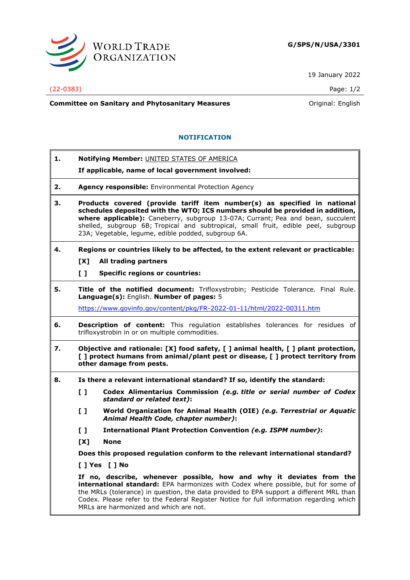

19 January 2022

## (22-0383) Page: 1/2

**Committee on Sanitary and Phytosanitary Measures Committee on Sanitary and Phytosanitary Measures Committee And American** 

## **NOTIFICATION**

**1. Notifying Member:** UNITED STATES OF AMERICA

## **If applicable, name of local government involved:**

- **2. Agency responsible:** Environmental Protection Agency
- **3. Products covered (provide tariff item number(s) as specified in national schedules deposited with the WTO; ICS numbers should be provided in addition, where applicable):** Caneberry, subgroup 13-07A; Currant; Pea and bean, succulent shelled, subgroup 6B; Tropical and subtropical, small fruit, edible peel, subgroup 23A; Vegetable, legume, edible podded, subgroup 6A.

## **4. Regions or countries likely to be affected, to the extent relevant or practicable:**

- **[X] All trading partners**
- **[ ] Specific regions or countries:**
- **5. Title of the notified document:** Trifloxystrobin; Pesticide Tolerance. Final Rule. **Language(s):** English. **Number of pages:** 5

<https://www.govinfo.gov/content/pkg/FR-2022-01-11/html/2022-00311.htm>

- **6. Description of content:** This regulation establishes tolerances for residues of trifloxystrobin in or on multiple commodities.
- **7. Objective and rationale: [X] food safety, [ ] animal health, [ ] plant protection, [ ] protect humans from animal/plant pest or disease, [ ] protect territory from other damage from pests.**
- **8. Is there a relevant international standard? If so, identify the standard:**
	- **[ ] Codex Alimentarius Commission** *(e.g. title or serial number of Codex standard or related text)***:**
	- **[ ] World Organization for Animal Health (OIE)** *(e.g. Terrestrial or Aquatic Animal Health Code, chapter number)***:**
	- **[ ] International Plant Protection Convention** *(e.g. ISPM number)***:**
	- **[X] None**

**Does this proposed regulation conform to the relevant international standard?** 

**[ ] Yes [ ] No**

**If no, describe, whenever possible, how and why it deviates from the international standard:** EPA harmonizes with Codex where possible, but for some of the MRLs (tolerance) in question, the data provided to EPA support a different MRL than Codex. Please refer to the Federal Register Notice for full information regarding which MRLs are harmonized and which are not.